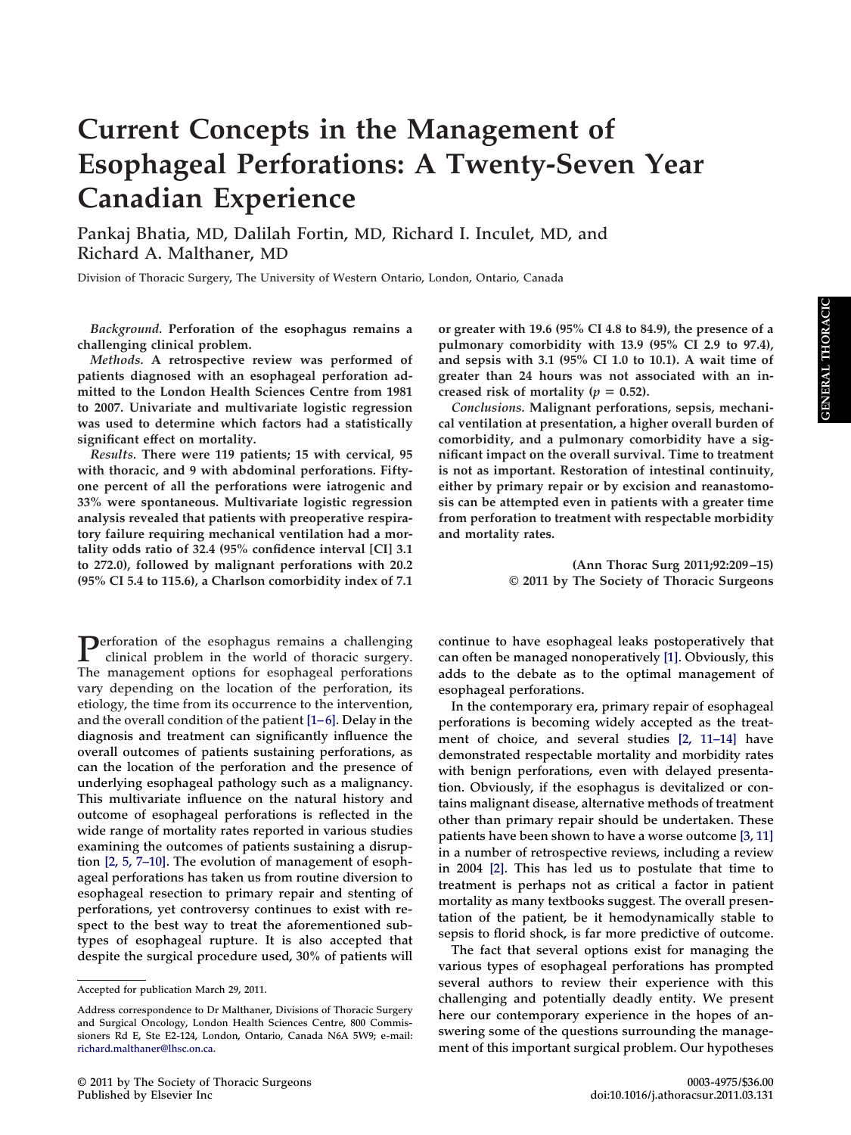# **Current Concepts in the Management of Esophageal Perforations: A Twenty-Seven Year Canadian Experience**

**Pankaj Bhatia, MD, Dalilah Fortin, MD, Richard I. Inculet, MD, and Richard A. Malthaner, MD**

**Division of Thoracic Surgery, The University of Western Ontario, London, Ontario, Canada**

*Background.* **Perforation of the esophagus remains a challenging clinical problem.**

*Methods.* **A retrospective review was performed of patients diagnosed with an esophageal perforation admitted to the London Health Sciences Centre from 1981 to 2007. Univariate and multivariate logistic regression was used to determine which factors had a statistically significant effect on mortality.**

*Results.* **There were 119 patients; 15 with cervical, 95 with thoracic, and 9 with abdominal perforations. Fiftyone percent of all the perforations were iatrogenic and 33% were spontaneous. Multivariate logistic regression analysis revealed that patients with preoperative respiratory failure requiring mechanical ventilation had a mortality odds ratio of 32.4 (95% confidence interval [CI] 3.1 to 272.0), followed by malignant perforations with 20.2 (95% CI 5.4 to 115.6), a Charlson comorbidity index of 7.1**

**Perforation of the esophagus remains a challenging clinical problem in the world of thoracic surgery. The management options for esophageal perforations vary depending on the location of the perforation, its etiology, the time from its occurrence to the intervention, and the overall condition of the patient [\[1–6\].](#page-6-0) Delay in the diagnosis and treatment can significantly influence the overall outcomes of patients sustaining perforations, as can the location of the perforation and the presence of underlying esophageal pathology such as a malignancy. This multivariate influence on the natural history and outcome of esophageal perforations is reflected in the wide range of mortality rates reported in various studies examining the outcomes of patients sustaining a disruption [\[2, 5, 7–10\].](#page-6-1) The evolution of management of esophageal perforations has taken us from routine diversion to esophageal resection to primary repair and stenting of perforations, yet controversy continues to exist with respect to the best way to treat the aforementioned subtypes of esophageal rupture. It is also accepted that despite the surgical procedure used, 30% of patients will**

**or greater with 19.6 (95% CI 4.8 to 84.9), the presence of a pulmonary comorbidity with 13.9 (95% CI 2.9 to 97.4), and sepsis with 3.1 (95% CI 1.0 to 10.1). A wait time of greater than 24 hours was not associated with an in**creased risk of mortality ( $p = 0.52$ ).

*Conclusions.* **Malignant perforations, sepsis, mechanical ventilation at presentation, a higher overall burden of comorbidity, and a pulmonary comorbidity have a significant impact on the overall survival. Time to treatment is not as important. Restoration of intestinal continuity, either by primary repair or by excision and reanastomosis can be attempted even in patients with a greater time from perforation to treatment with respectable morbidity and mortality rates.**

> **(Ann Thorac Surg 2011;92:209 –15) © 2011 by The Society of Thoracic Surgeons**

**continue to have esophageal leaks postoperatively that can often be managed nonoperatively [\[1\].](#page-6-0) Obviously, this adds to the debate as to the optimal management of esophageal perforations.**

**In the contemporary era, primary repair of esophageal perforations is becoming widely accepted as the treatment of choice, and several studies [\[2, 11–14\]](#page-6-1) have demonstrated respectable mortality and morbidity rates with benign perforations, even with delayed presentation. Obviously, if the esophagus is devitalized or contains malignant disease, alternative methods of treatment other than primary repair should be undertaken. These patients have been shown to have a worse outcome [\[3, 11\]](#page-6-2) in a number of retrospective reviews, including a review in 2004 [\[2\].](#page-6-1) This has led us to postulate that time to treatment is perhaps not as critical a factor in patient mortality as many textbooks suggest. The overall presentation of the patient, be it hemodynamically stable to sepsis to florid shock, is far more predictive of outcome.**

**The fact that several options exist for managing the various types of esophageal perforations has prompted several authors to review their experience with this challenging and potentially deadly entity. We present here our contemporary experience in the hopes of answering some of the questions surrounding the management of this important surgical problem. Our hypotheses**

**Accepted for publication March 29, 2011.**

**Address correspondence to Dr Malthaner, Divisions of Thoracic Surgery and Surgical Oncology, London Health Sciences Centre, 800 Commissioners Rd E, Ste E2-124, London, Ontario, Canada N6A 5W9; e-mail: [richard.malthaner@lhsc.on.ca.](mailto:richard.malthaner@lhsc.on.ca)**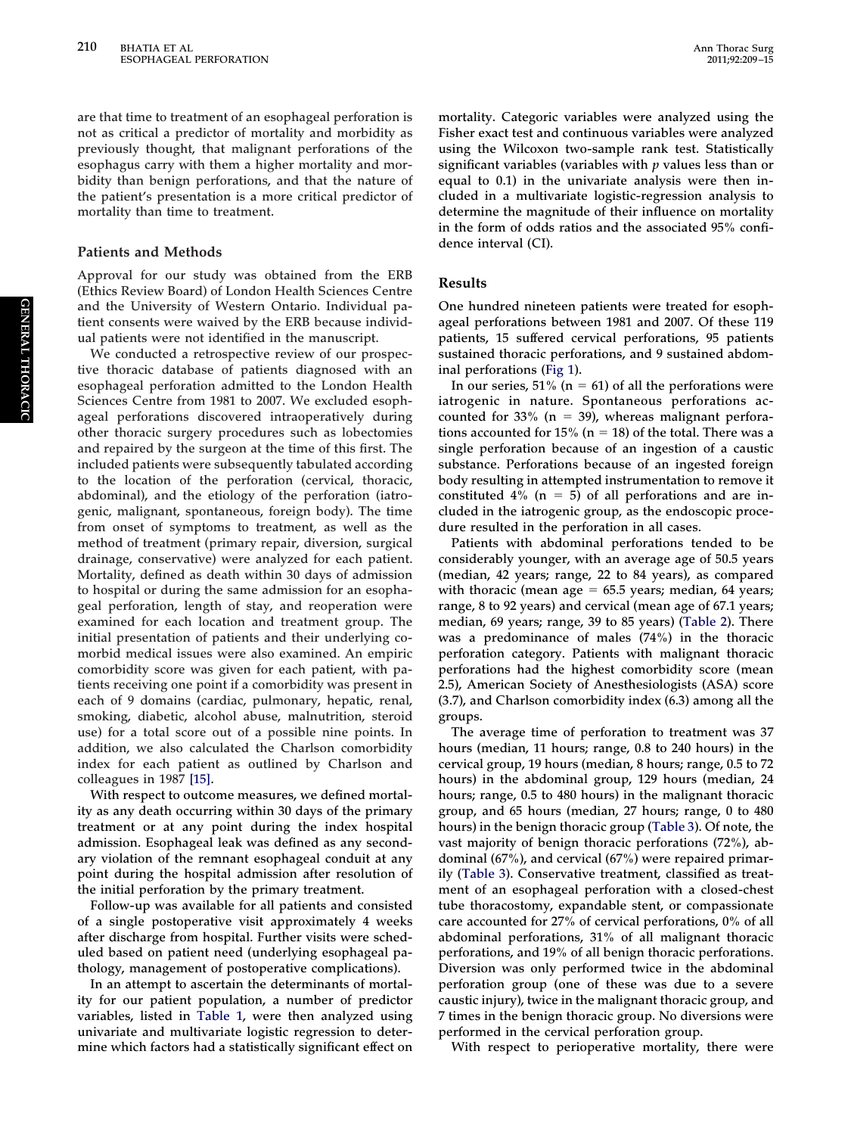**are that time to treatment of an esophageal perforation is not as critical a predictor of mortality and morbidity as previously thought, that malignant perforations of the esophagus carry with them a higher mortality and morbidity than benign perforations, and that the nature of the patient's presentation is a more critical predictor of mortality than time to treatment.**

#### **Patients and Methods**

**Approval for our study was obtained from the ERB (Ethics Review Board) of London Health Sciences Centre and the University of Western Ontario. Individual patient consents were waived by the ERB because individual patients were not identified in the manuscript.**

**We conducted a retrospective review of our prospective thoracic database of patients diagnosed with an esophageal perforation admitted to the London Health Sciences Centre from 1981 to 2007. We excluded esophageal perforations discovered intraoperatively during other thoracic surgery procedures such as lobectomies and repaired by the surgeon at the time of this first. The included patients were subsequently tabulated according to the location of the perforation (cervical, thoracic, abdominal), and the etiology of the perforation (iatrogenic, malignant, spontaneous, foreign body). The time from onset of symptoms to treatment, as well as the method of treatment (primary repair, diversion, surgical drainage, conservative) were analyzed for each patient. Mortality, defined as death within 30 days of admission to hospital or during the same admission for an esophageal perforation, length of stay, and reoperation were examined for each location and treatment group. The initial presentation of patients and their underlying comorbid medical issues were also examined. An empiric comorbidity score was given for each patient, with patients receiving one point if a comorbidity was present in each of 9 domains (cardiac, pulmonary, hepatic, renal, smoking, diabetic, alcohol abuse, malnutrition, steroid use) for a total score out of a possible nine points. In addition, we also calculated the Charlson comorbidity index for each patient as outlined by Charlson and colleagues in 1987 [\[15\].](#page-6-3)**

**With respect to outcome measures, we defined mortality as any death occurring within 30 days of the primary treatment or at any point during the index hospital admission. Esophageal leak was defined as any secondary violation of the remnant esophageal conduit at any point during the hospital admission after resolution of the initial perforation by the primary treatment.**

**Follow-up was available for all patients and consisted of a single postoperative visit approximately 4 weeks after discharge from hospital. Further visits were scheduled based on patient need (underlying esophageal pathology, management of postoperative complications).**

**In an attempt to ascertain the determinants of mortality for our patient population, a number of predictor variables, listed in [Table 1,](#page-2-0) were then analyzed using univariate and multivariate logistic regression to determine which factors had a statistically significant effect on**

**mortality. Categoric variables were analyzed using the Fisher exact test and continuous variables were analyzed using the Wilcoxon two-sample rank test. Statistically significant variables (variables with** *p* **values less than or equal to 0.1) in the univariate analysis were then included in a multivariate logistic-regression analysis to determine the magnitude of their influence on mortality in the form of odds ratios and the associated 95% confidence interval (CI).**

## **Results**

**One hundred nineteen patients were treated for esophageal perforations between 1981 and 2007. Of these 119 patients, 15 suffered cervical perforations, 95 patients sustained thoracic perforations, and 9 sustained abdominal perforations [\(Fig 1\)](#page-3-0).**

In our series,  $51\%$  ( $n = 61$ ) of all the perforations were **iatrogenic in nature. Spontaneous perforations accounted for 33% (n 39), whereas malignant perforations accounted for 15% (n 18) of the total. There was a single perforation because of an ingestion of a caustic substance. Perforations because of an ingested foreign body resulting in attempted instrumentation to remove it** constituted  $4\%$  (n = 5) of all perforations and are in**cluded in the iatrogenic group, as the endoscopic procedure resulted in the perforation in all cases.**

**Patients with abdominal perforations tended to be considerably younger, with an average age of 50.5 years (median, 42 years; range, 22 to 84 years), as compared with thoracic (mean age 65.5 years; median, 64 years; range, 8 to 92 years) and cervical (mean age of 67.1 years; median, 69 years; range, 39 to 85 years) [\(Table 2\)](#page-3-1). There was a predominance of males (74%) in the thoracic perforation category. Patients with malignant thoracic perforations had the highest comorbidity score (mean 2.5), American Society of Anesthesiologists (ASA) score (3.7), and Charlson comorbidity index (6.3) among all the groups.**

**The average time of perforation to treatment was 37 hours (median, 11 hours; range, 0.8 to 240 hours) in the cervical group, 19 hours (median, 8 hours; range, 0.5 to 72 hours) in the abdominal group, 129 hours (median, 24 hours; range, 0.5 to 480 hours) in the malignant thoracic group, and 65 hours (median, 27 hours; range, 0 to 480 hours) in the benign thoracic group [\(Table 3\)](#page-4-0). Of note, the vast majority of benign thoracic perforations (72%), abdominal (67%), and cervical (67%) were repaired primarily [\(Table 3\)](#page-4-0). Conservative treatment, classified as treatment of an esophageal perforation with a closed-chest tube thoracostomy, expandable stent, or compassionate care accounted for 27% of cervical perforations, 0% of all abdominal perforations, 31% of all malignant thoracic perforations, and 19% of all benign thoracic perforations. Diversion was only performed twice in the abdominal perforation group (one of these was due to a severe caustic injury), twice in the malignant thoracic group, and 7 times in the benign thoracic group. No diversions were performed in the cervical perforation group.**

**With respect to perioperative mortality, there were**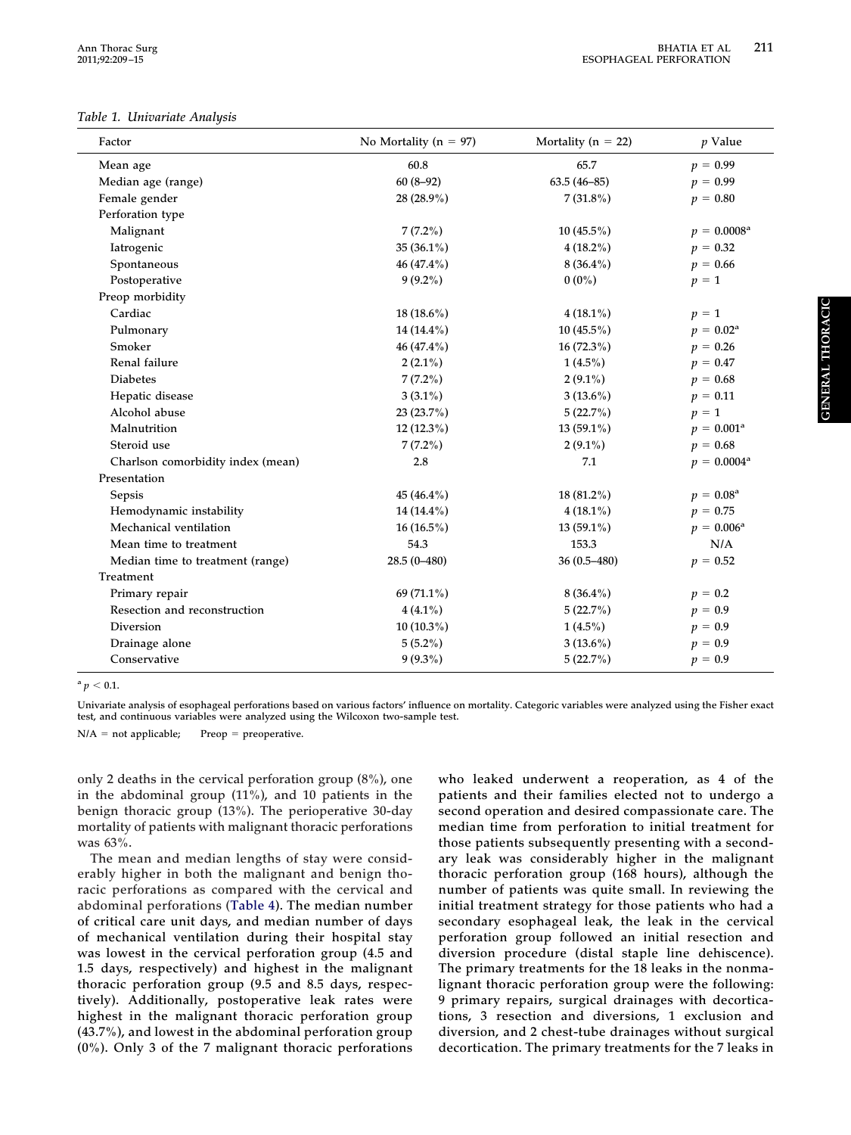#### <span id="page-2-0"></span>*Table 1. Univariate Analysis*

| Factor                            | No Mortality ( $n = 97$ ) | Mortality ( $n = 22$ ) | $p$ Value               |
|-----------------------------------|---------------------------|------------------------|-------------------------|
| Mean age                          | 60.8                      | 65.7                   | $p = 0.99$              |
| Median age (range)                | $60(8-92)$                | $63.5(46-85)$          | $p = 0.99$              |
| Female gender                     | 28 (28.9%)                | $7(31.8\%)$            | $p = 0.80$              |
| Perforation type                  |                           |                        |                         |
| Malignant                         | $7(7.2\%)$                | $10(45.5\%)$           | $p = 0.0008^{\text{a}}$ |
| Iatrogenic                        | 35 $(36.1\%)$             | $4(18.2\%)$            | $p = 0.32$              |
| Spontaneous                       | 46 (47.4%)                | $8(36.4\%)$            | $p = 0.66$              |
| Postoperative                     | $9(9.2\%)$                | $0(0\%)$               | $p = 1$                 |
| Preop morbidity                   |                           |                        |                         |
| Cardiac                           | $18(18.6\%)$              | $4(18.1\%)$            | $p = 1$                 |
| Pulmonary                         | $14(14.4\%)$              | $10(45.5\%)$           | $p = 0.02^{\rm a}$      |
| Smoker                            | 46 (47.4%)                | $16(72.3\%)$           | $p = 0.26$              |
| Renal failure                     | $2(2.1\%)$                | $1(4.5\%)$             | $p = 0.47$              |
| <b>Diabetes</b>                   | $7(7.2\%)$                | $2(9.1\%)$             | $p = 0.68$              |
| Hepatic disease                   | $3(3.1\%)$                | $3(13.6\%)$            | $p = 0.11$              |
| Alcohol abuse                     | $23(23.7\%)$              | 5(22.7%)               | $p = 1$                 |
| Malnutrition                      | $12(12.3\%)$              | $13(59.1\%)$           | $p = 0.001^{\text{a}}$  |
| Steroid use                       | $7(7.2\%)$                | $2(9.1\%)$             | $p = 0.68$              |
| Charlson comorbidity index (mean) | 2.8                       | 7.1                    | $p = 0.0004^{\rm a}$    |
| Presentation                      |                           |                        |                         |
| Sepsis                            | 45 $(46.4\%)$             | $18(81.2\%)$           | $p = 0.08^{\rm a}$      |
| Hemodynamic instability           | 14 (14.4%)                | $4(18.1\%)$            | $p = 0.75$              |
| Mechanical ventilation            | $16(16.5\%)$              | $13(59.1\%)$           | $p = 0.006^{\rm a}$     |
| Mean time to treatment            | 54.3                      | 153.3                  | N/A                     |
| Median time to treatment (range)  | $28.5(0-480)$             | 36 (0.5-480)           | $p = 0.52$              |
| Treatment                         |                           |                        |                         |
| Primary repair                    | 69 (71.1%)                | $8(36.4\%)$            | $p = 0.2$               |
| Resection and reconstruction      | $4(4.1\%)$                | 5(22.7%)               | $p = 0.9$               |
| Diversion                         | $10(10.3\%)$              | $1(4.5\%)$             | $p = 0.9$               |
| Drainage alone                    | $5(5.2\%)$                | $3(13.6\%)$            | $p = 0.9$               |
| Conservative                      | $9(9.3\%)$                | 5(22.7%)               | $p = 0.9$               |

 $^{a}p < 0.1.$ 

**Univariate analysis of esophageal perforations based on various factors' influence on mortality. Categoric variables were analyzed using the Fisher exact test, and continuous variables were analyzed using the Wilcoxon two-sample test.**

 $N/A = not applicable;$  Preop = preoperative.

**only 2 deaths in the cervical perforation group (8%), one in the abdominal group (11%), and 10 patients in the benign thoracic group (13%). The perioperative 30-day mortality of patients with malignant thoracic perforations was 63%.**

**The mean and median lengths of stay were considerably higher in both the malignant and benign thoracic perforations as compared with the cervical and abdominal perforations [\(Table 4\)](#page-4-1). The median number of critical care unit days, and median number of days of mechanical ventilation during their hospital stay was lowest in the cervical perforation group (4.5 and 1.5 days, respectively) and highest in the malignant thoracic perforation group (9.5 and 8.5 days, respectively). Additionally, postoperative leak rates were highest in the malignant thoracic perforation group (43.7%), and lowest in the abdominal perforation group (0%). Only 3 of the 7 malignant thoracic perforations** **who leaked underwent a reoperation, as 4 of the patients and their families elected not to undergo a second operation and desired compassionate care. The median time from perforation to initial treatment for those patients subsequently presenting with a secondary leak was considerably higher in the malignant thoracic perforation group (168 hours), although the number of patients was quite small. In reviewing the initial treatment strategy for those patients who had a secondary esophageal leak, the leak in the cervical perforation group followed an initial resection and diversion procedure (distal staple line dehiscence). The primary treatments for the 18 leaks in the nonmalignant thoracic perforation group were the following: 9 primary repairs, surgical drainages with decortications, 3 resection and diversions, 1 exclusion and diversion, and 2 chest-tube drainages without surgical decortication. The primary treatments for the 7 leaks in**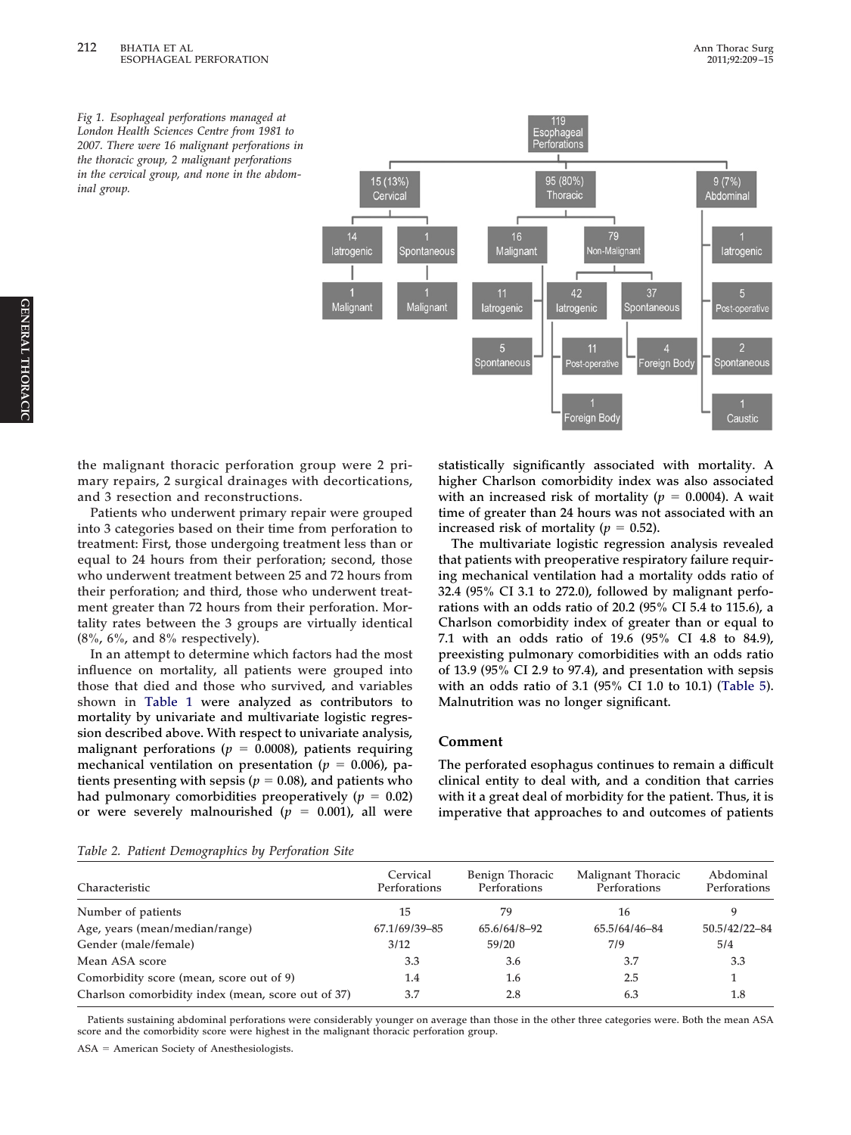<span id="page-3-0"></span>

**the malignant thoracic perforation group were 2 primary repairs, 2 surgical drainages with decortications, and 3 resection and reconstructions.**

**Patients who underwent primary repair were grouped into 3 categories based on their time from perforation to treatment: First, those undergoing treatment less than or equal to 24 hours from their perforation; second, those who underwent treatment between 25 and 72 hours from their perforation; and third, those who underwent treatment greater than 72 hours from their perforation. Mortality rates between the 3 groups are virtually identical (8%, 6%, and 8% respectively).**

**In an attempt to determine which factors had the most influence on mortality, all patients were grouped into those that died and those who survived, and variables shown in [Table 1](#page-2-0) were analyzed as contributors to mortality by univariate and multivariate logistic regression described above. With respect to univariate analysis,** malignant perforations ( $p = 0.0008$ ), patients requiring mechanical ventilation on presentation ( $p = 0.006$ ), pa**tients presenting with sepsis (** $p = 0.08$ **), and patients who** had pulmonary comorbidities preoperatively ( $p = 0.02$ ) or were severely malnourished ( $p = 0.001$ ), all were

**statistically significantly associated with mortality. A higher Charlson comorbidity index was also associated** with an increased risk of mortality ( $p = 0.0004$ ). A wait **time of greater than 24 hours was not associated with an** increased risk of mortality ( $p = 0.52$ ).

**The multivariate logistic regression analysis revealed that patients with preoperative respiratory failure requiring mechanical ventilation had a mortality odds ratio of 32.4 (95% CI 3.1 to 272.0), followed by malignant perforations with an odds ratio of 20.2 (95% CI 5.4 to 115.6), a Charlson comorbidity index of greater than or equal to 7.1 with an odds ratio of 19.6 (95% CI 4.8 to 84.9), preexisting pulmonary comorbidities with an odds ratio of 13.9 (95% CI 2.9 to 97.4), and presentation with sepsis with an odds ratio of 3.1 (95% CI 1.0 to 10.1) [\(Table 5\)](#page-5-0). Malnutrition was no longer significant.**

## **Comment**

**The perforated esophagus continues to remain a difficult clinical entity to deal with, and a condition that carries with it a great deal of morbidity for the patient. Thus, it is imperative that approaches to and outcomes of patients**

<span id="page-3-1"></span>

|  |  | Table 2. Patient Demographics by Perforation Site |  |  |  |  |
|--|--|---------------------------------------------------|--|--|--|--|
|--|--|---------------------------------------------------|--|--|--|--|

|                                                    | Cervical      | Benign Thoracic | Malignant Thoracic | Abdominal     |
|----------------------------------------------------|---------------|-----------------|--------------------|---------------|
| Characteristic                                     | Perforations  | Perforations    | Perforations       | Perforations  |
| Number of patients                                 | 15            | 79              | 16                 | q             |
| Age, years (mean/median/range)                     | 67.1/69/39-85 | 65.6/64/8-92    | 65.5/64/46-84      | 50.5/42/22-84 |
| Gender (male/female)                               | 3/12          | 59/20           | 7/9                | 5/4           |
| Mean ASA score                                     | 3.3           | 3.6             | 3.7                | 3.3           |
| Comorbidity score (mean, score out of 9)           | 1.4           | 1.6             | 2.5                |               |
| Charlson comorbidity index (mean, score out of 37) | 3.7           | 2.8             | 6.3                | 1.8           |

**Patients sustaining abdominal perforations were considerably younger on average than those in the other three categories were. Both the mean ASA score and the comorbidity score were highest in the malignant thoracic perforation group.**

**ASA American Society of Anesthesiologists.**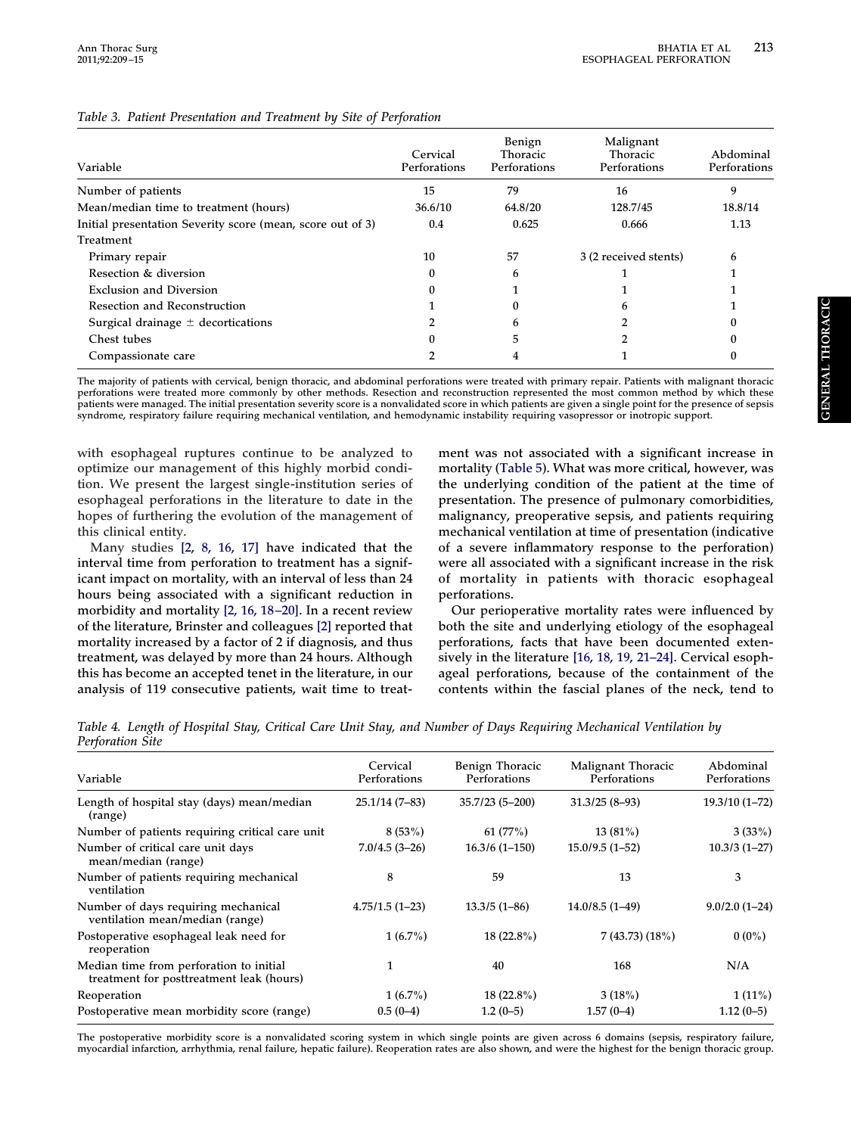| Variable                                                   | Cervical<br>Perforations | Benign<br>Thoracic<br>Perforations | Malignant<br><b>Thoracic</b><br>Perforations | Abdominal<br>Perforations |
|------------------------------------------------------------|--------------------------|------------------------------------|----------------------------------------------|---------------------------|
| Number of patients                                         | 15                       | 79                                 | 16                                           | 9                         |
| Mean/median time to treatment (hours)                      | 36.6/10                  | 64.8/20                            | 128.7/45                                     | 18.8/14                   |
| Initial presentation Severity score (mean, score out of 3) | 0.4                      | 0.625                              | 0.666                                        | 1.13                      |
| Treatment                                                  |                          |                                    |                                              |                           |
| Primary repair                                             | 10                       | 57                                 | 3 (2 received stents)                        | 6                         |
| Resection & diversion                                      | $\mathbf{0}$             | 6                                  |                                              |                           |
| <b>Exclusion and Diversion</b>                             | 0                        |                                    |                                              |                           |
| Resection and Reconstruction                               |                          | O                                  |                                              |                           |
| Surgical drainage $\pm$ decortications                     |                          | 6                                  |                                              |                           |
| Chest tubes                                                |                          | 5                                  |                                              |                           |
| Compassionate care                                         |                          |                                    |                                              |                           |

### <span id="page-4-0"></span>*Table 3. Patient Presentation and Treatment by Site of Perforation*

**The majority of patients with cervical, benign thoracic, and abdominal perforations were treated with primary repair. Patients with malignant thoracic perforations were treated more commonly by other methods. Resection and reconstruction represented the most common method by which these patients were managed. The initial presentation severity score is a nonvalidated score in which patients are given a single point for the presence of sepsis syndrome, respiratory failure requiring mechanical ventilation, and hemodynamic instability requiring vasopressor or inotropic support.**

**with esophageal ruptures continue to be analyzed to optimize our management of this highly morbid condition. We present the largest single-institution series of esophageal perforations in the literature to date in the hopes of furthering the evolution of the management of this clinical entity.**

**Many studies [\[2, 8, 16, 17\]](#page-6-1) have indicated that the interval time from perforation to treatment has a significant impact on mortality, with an interval of less than 24 hours being associated with a significant reduction in morbidity and mortality [\[2, 16, 18–20\].](#page-6-1) In a recent review of the literature, Brinster and colleagues [\[2\]](#page-6-1) reported that mortality increased by a factor of 2 if diagnosis, and thus treatment, was delayed by more than 24 hours. Although this has become an accepted tenet in the literature, in our analysis of 119 consecutive patients, wait time to treat-**

**ment was not associated with a significant increase in mortality [\(Table 5\)](#page-5-0). What was more critical, however, was the underlying condition of the patient at the time of presentation. The presence of pulmonary comorbidities, malignancy, preoperative sepsis, and patients requiring mechanical ventilation at time of presentation (indicative of a severe inflammatory response to the perforation) were all associated with a significant increase in the risk of mortality in patients with thoracic esophageal perforations.**

**Our perioperative mortality rates were influenced by both the site and underlying etiology of the esophageal perforations, facts that have been documented extensively in the literature [\[16, 18, 19, 21–24\].](#page-6-4) Cervical esophageal perforations, because of the containment of the contents within the fascial planes of the neck, tend to**

<span id="page-4-1"></span>*Table 4. Length of Hospital Stay, Critical Care Unit Stay, and Number of Days Requiring Mechanical Ventilation by Perforation Site*

|                                                                                     | Cervical         | Benign Thoracic  | Malignant Thoracic | Abdominal       |
|-------------------------------------------------------------------------------------|------------------|------------------|--------------------|-----------------|
| Variable                                                                            | Perforations     | Perforations     | Perforations       | Perforations    |
| Length of hospital stay (days) mean/median<br>(range)                               | $25.1/14(7-83)$  | $35.7/23(5-200)$ | $31.3/25(8-93)$    | $19.3/10(1-72)$ |
| Number of patients requiring critical care unit                                     | 8(53%)           | 61(77%)          | $13(81\%)$         | 3(33%)          |
| Number of critical care unit days<br>mean/median (range)                            | $7.0/4.5(3-26)$  | $16.3/6(1-150)$  | $15.0/9.5(1-52)$   | $10.3/3(1-27)$  |
| Number of patients requiring mechanical<br>ventilation                              | 8                | 59               | 13                 | 3               |
| Number of days requiring mechanical<br>ventilation mean/median (range)              | $4.75/1.5(1-23)$ | $13.3/5(1-86)$   | $14.0/8.5(1-49)$   | $9.0/2.0(1-24)$ |
| Postoperative esophageal leak need for<br>reoperation                               | $1(6.7\%)$       | $18(22.8\%)$     | 7(43.73)(18%)      | $0(0\%)$        |
| Median time from perforation to initial<br>treatment for posttreatment leak (hours) |                  | 40               | 168                | N/A             |
| Reoperation                                                                         | $1(6.7\%)$       | $18(22.8\%)$     | 3(18%)             | $1(11\%)$       |
| Postoperative mean morbidity score (range)                                          | $0.5(0-4)$       | $1.2(0-5)$       | $1.57(0-4)$        | $1.12(0-5)$     |

**The postoperative morbidity score is a nonvalidated scoring system in which single points are given across 6 domains (sepsis, respiratory failure, myocardial infarction, arrhythmia, renal failure, hepatic failure). Reoperation rates are also shown, and were the highest for the benign thoracic group.**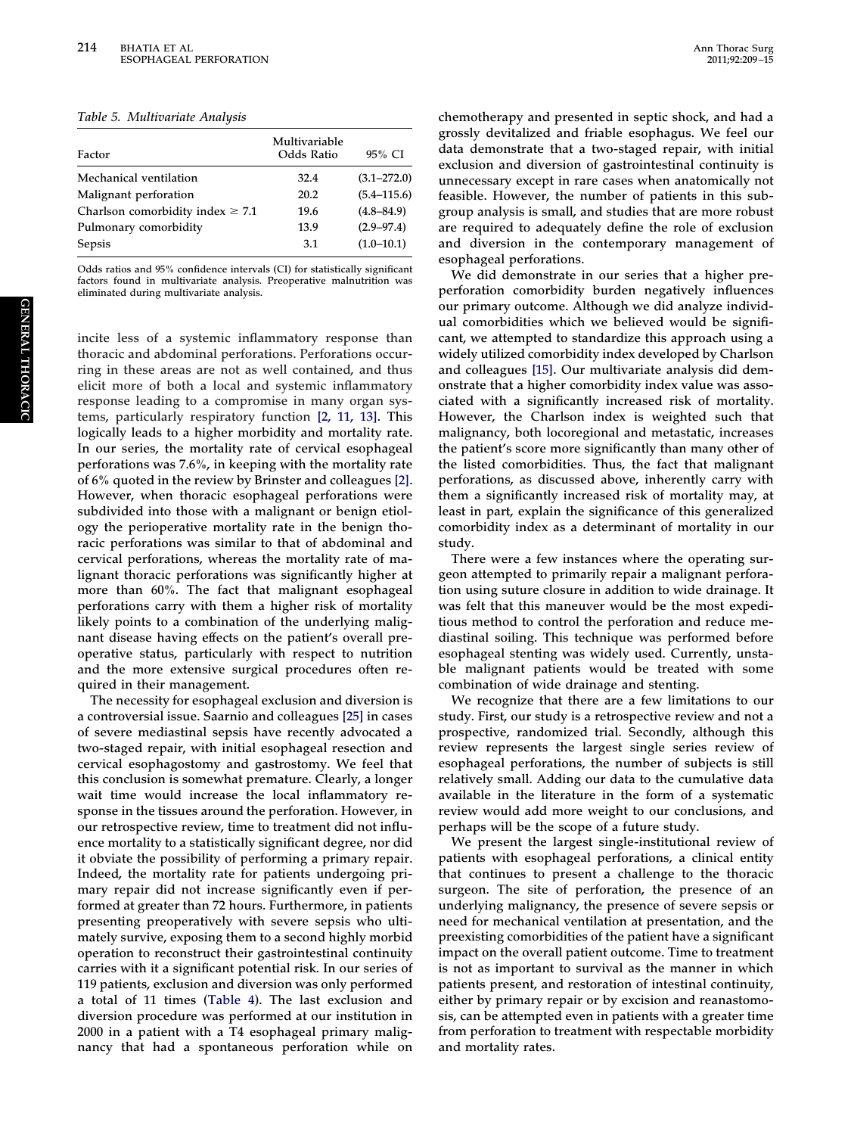<span id="page-5-0"></span>*Table 5. Multivariate Analysis*

| Factor                                | Multivariable<br>Odds Ratio | 95% CI          |
|---------------------------------------|-----------------------------|-----------------|
| Mechanical ventilation                | 32.4                        | $(3.1 - 272.0)$ |
| Malignant perforation                 | 20.2                        | $(5.4 - 115.6)$ |
| Charlson comorbidity index $\geq 7.1$ | 19.6                        | $(4.8 - 84.9)$  |
| Pulmonary comorbidity                 | 13.9                        | $(2.9 - 97.4)$  |
| <b>Sepsis</b>                         | 3.1                         | $(1.0 - 10.1)$  |

**Odds ratios and 95% confidence intervals (CI) for statistically significant factors found in multivariate analysis. Preoperative malnutrition was eliminated during multivariate analysis.**

**incite less of a systemic inflammatory response than thoracic and abdominal perforations. Perforations occurring in these areas are not as well contained, and thus elicit more of both a local and systemic inflammatory response leading to a compromise in many organ systems, particularly respiratory function [\[2, 11, 13\].](#page-6-1) This logically leads to a higher morbidity and mortality rate. In our series, the mortality rate of cervical esophageal perforations was 7.6%, in keeping with the mortality rate of 6% quoted in the review by Brinster and colleagues [\[2\].](#page-6-1) However, when thoracic esophageal perforations were subdivided into those with a malignant or benign etiology the perioperative mortality rate in the benign thoracic perforations was similar to that of abdominal and cervical perforations, whereas the mortality rate of malignant thoracic perforations was significantly higher at more than 60%. The fact that malignant esophageal perforations carry with them a higher risk of mortality likely points to a combination of the underlying malignant disease having effects on the patient's overall preoperative status, particularly with respect to nutrition and the more extensive surgical procedures often required in their management.**

**The necessity for esophageal exclusion and diversion is a controversial issue. Saarnio and colleagues [\[25\]](#page-6-5) in cases of severe mediastinal sepsis have recently advocated a two-staged repair, with initial esophageal resection and cervical esophagostomy and gastrostomy. We feel that this conclusion is somewhat premature. Clearly, a longer wait time would increase the local inflammatory response in the tissues around the perforation. However, in our retrospective review, time to treatment did not influence mortality to a statistically significant degree, nor did it obviate the possibility of performing a primary repair. Indeed, the mortality rate for patients undergoing primary repair did not increase significantly even if performed at greater than 72 hours. Furthermore, in patients presenting preoperatively with severe sepsis who ultimately survive, exposing them to a second highly morbid operation to reconstruct their gastrointestinal continuity carries with it a significant potential risk. In our series of 119 patients, exclusion and diversion was only performed a total of 11 times [\(Table 4\)](#page-4-1). The last exclusion and diversion procedure was performed at our institution in 2000 in a patient with a T4 esophageal primary malignancy that had a spontaneous perforation while on**

**chemotherapy and presented in septic shock, and had a grossly devitalized and friable esophagus. We feel our data demonstrate that a two-staged repair, with initial exclusion and diversion of gastrointestinal continuity is unnecessary except in rare cases when anatomically not feasible. However, the number of patients in this subgroup analysis is small, and studies that are more robust are required to adequately define the role of exclusion and diversion in the contemporary management of esophageal perforations.**

**We did demonstrate in our series that a higher preperforation comorbidity burden negatively influences our primary outcome. Although we did analyze individual comorbidities which we believed would be significant, we attempted to standardize this approach using a widely utilized comorbidity index developed by Charlson and colleagues [\[15\].](#page-6-3) Our multivariate analysis did demonstrate that a higher comorbidity index value was associated with a significantly increased risk of mortality. However, the Charlson index is weighted such that malignancy, both locoregional and metastatic, increases the patient's score more significantly than many other of the listed comorbidities. Thus, the fact that malignant perforations, as discussed above, inherently carry with them a significantly increased risk of mortality may, at least in part, explain the significance of this generalized comorbidity index as a determinant of mortality in our study.**

**There were a few instances where the operating surgeon attempted to primarily repair a malignant perforation using suture closure in addition to wide drainage. It was felt that this maneuver would be the most expeditious method to control the perforation and reduce mediastinal soiling. This technique was performed before esophageal stenting was widely used. Currently, unstable malignant patients would be treated with some combination of wide drainage and stenting.**

**We recognize that there are a few limitations to our study. First, our study is a retrospective review and not a prospective, randomized trial. Secondly, although this review represents the largest single series review of esophageal perforations, the number of subjects is still relatively small. Adding our data to the cumulative data available in the literature in the form of a systematic review would add more weight to our conclusions, and perhaps will be the scope of a future study.**

**We present the largest single-institutional review of patients with esophageal perforations, a clinical entity that continues to present a challenge to the thoracic surgeon. The site of perforation, the presence of an underlying malignancy, the presence of severe sepsis or need for mechanical ventilation at presentation, and the preexisting comorbidities of the patient have a significant impact on the overall patient outcome. Time to treatment is not as important to survival as the manner in which patients present, and restoration of intestinal continuity, either by primary repair or by excision and reanastomosis, can be attempted even in patients with a greater time from perforation to treatment with respectable morbidity and mortality rates.**